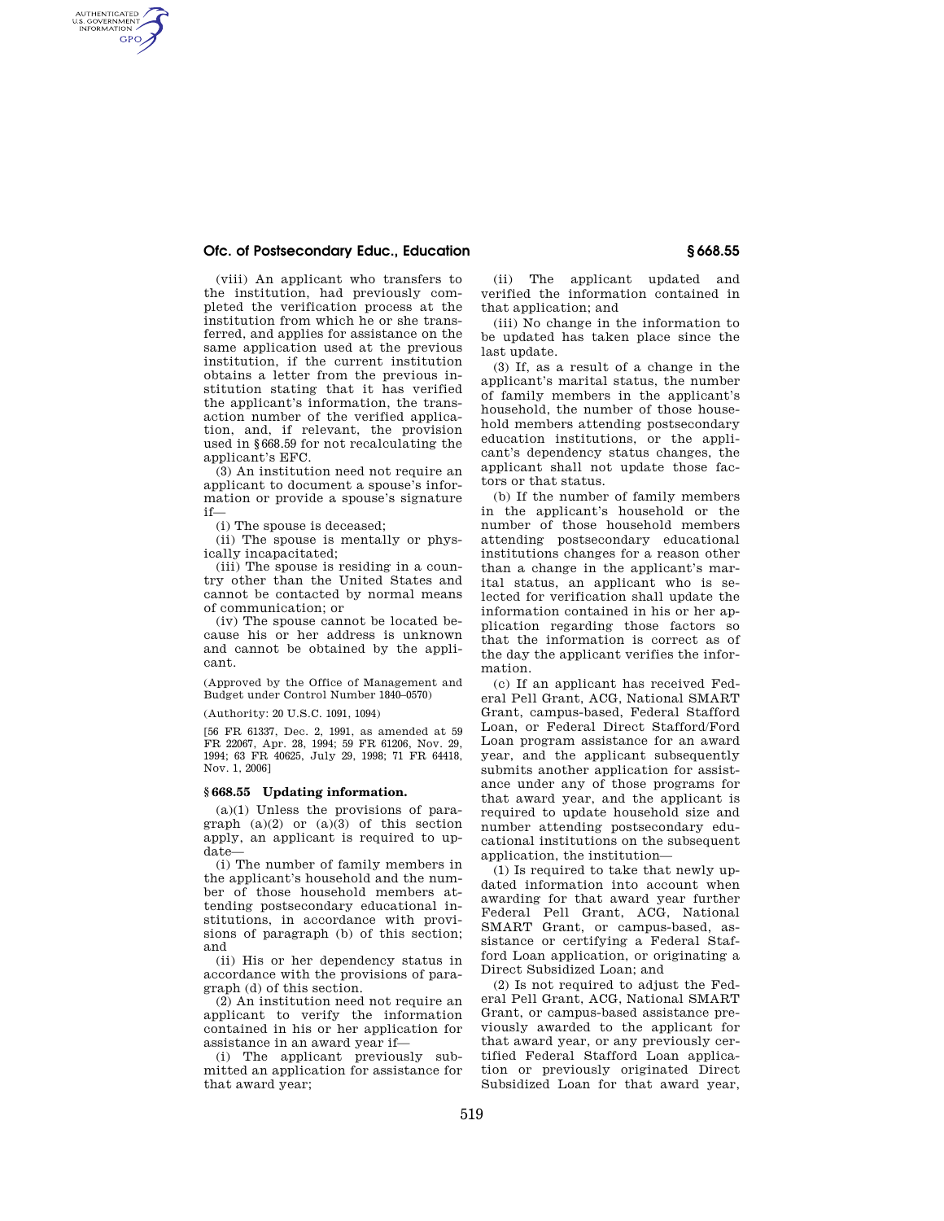## **Ofc. of Postsecondary Educ., Education § 668.55**

AUTHENTICATED<br>U.S. GOVERNMENT<br>INFORMATION **GPO** 

> (viii) An applicant who transfers to the institution, had previously completed the verification process at the institution from which he or she transferred, and applies for assistance on the same application used at the previous institution, if the current institution obtains a letter from the previous institution stating that it has verified the applicant's information, the transaction number of the verified application, and, if relevant, the provision used in §668.59 for not recalculating the applicant's EFC.

(3) An institution need not require an applicant to document a spouse's information or provide a spouse's signature if—

(i) The spouse is deceased;

(ii) The spouse is mentally or physically incapacitated;

(iii) The spouse is residing in a country other than the United States and cannot be contacted by normal means of communication; or

(iv) The spouse cannot be located because his or her address is unknown and cannot be obtained by the applicant.

(Approved by the Office of Management and Budget under Control Number 1840–0570)

(Authority: 20 U.S.C. 1091, 1094)

[56 FR 61337, Dec. 2, 1991, as amended at 59 FR 22067, Apr. 28, 1994; 59 FR 61206, Nov. 29, 1994; 63 FR 40625, July 29, 1998; 71 FR 64418, Nov. 1, 2006]

## **§ 668.55 Updating information.**

 $(a)(1)$  Unless the provisions of paragraph  $(a)(2)$  or  $(a)(3)$  of this section apply, an applicant is required to update—

(i) The number of family members in the applicant's household and the number of those household members attending postsecondary educational institutions, in accordance with provisions of paragraph (b) of this section; and

(ii) His or her dependency status in accordance with the provisions of paragraph (d) of this section.

(2) An institution need not require an applicant to verify the information contained in his or her application for assistance in an award year if—

(i) The applicant previously submitted an application for assistance for that award year;

(ii) The applicant updated and verified the information contained in that application; and

(iii) No change in the information to be updated has taken place since the last update.

(3) If, as a result of a change in the applicant's marital status, the number of family members in the applicant's household, the number of those household members attending postsecondary education institutions, or the applicant's dependency status changes, the applicant shall not update those factors or that status.

(b) If the number of family members in the applicant's household or the number of those household members attending postsecondary educational institutions changes for a reason other than a change in the applicant's marital status, an applicant who is selected for verification shall update the information contained in his or her application regarding those factors so that the information is correct as of the day the applicant verifies the information.

(c) If an applicant has received Federal Pell Grant, ACG, National SMART Grant, campus-based, Federal Stafford Loan, or Federal Direct Stafford/Ford Loan program assistance for an award year, and the applicant subsequently submits another application for assistance under any of those programs for that award year, and the applicant is required to update household size and number attending postsecondary educational institutions on the subsequent application, the institution—

(1) Is required to take that newly updated information into account when awarding for that award year further Federal Pell Grant, ACG, National SMART Grant, or campus-based, assistance or certifying a Federal Stafford Loan application, or originating a Direct Subsidized Loan; and

(2) Is not required to adjust the Federal Pell Grant, ACG, National SMART Grant, or campus-based assistance previously awarded to the applicant for that award year, or any previously certified Federal Stafford Loan application or previously originated Direct Subsidized Loan for that award year,